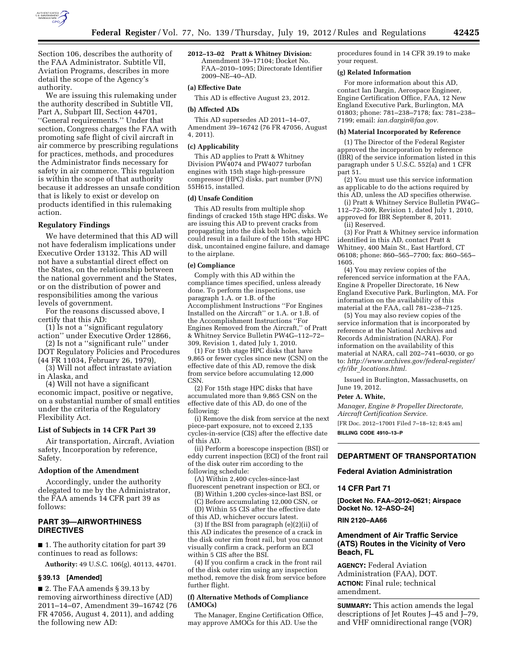

Section 106, describes the authority of the FAA Administrator. Subtitle VII, Aviation Programs, describes in more detail the scope of the Agency's authority.

We are issuing this rulemaking under the authority described in Subtitle VII, Part A, Subpart III, Section 44701, ''General requirements.'' Under that section, Congress charges the FAA with promoting safe flight of civil aircraft in air commerce by prescribing regulations for practices, methods, and procedures the Administrator finds necessary for safety in air commerce. This regulation is within the scope of that authority because it addresses an unsafe condition that is likely to exist or develop on products identified in this rulemaking action.

### **Regulatory Findings**

We have determined that this AD will not have federalism implications under Executive Order 13132. This AD will not have a substantial direct effect on the States, on the relationship between the national government and the States, or on the distribution of power and responsibilities among the various levels of government.

For the reasons discussed above, I certify that this AD:

(1) Is not a ''significant regulatory action'' under Executive Order 12866,

(2) Is not a ''significant rule'' under DOT Regulatory Policies and Procedures (44 FR 11034, February 26, 1979),

(3) Will not affect intrastate aviation in Alaska, and

(4) Will not have a significant economic impact, positive or negative, on a substantial number of small entities under the criteria of the Regulatory Flexibility Act.

#### **List of Subjects in 14 CFR Part 39**

Air transportation, Aircraft, Aviation safety, Incorporation by reference, Safety.

### **Adoption of the Amendment**

Accordingly, under the authority delegated to me by the Administrator, the FAA amends 14 CFR part 39 as follows:

### **PART 39—AIRWORTHINESS DIRECTIVES**

■ 1. The authority citation for part 39 continues to read as follows:

**Authority:** 49 U.S.C. 106(g), 40113, 44701.

#### **§ 39.13 [Amended]**

■ 2. The FAA amends § 39.13 by removing airworthiness directive (AD) 2011–14–07, Amendment 39–16742 (76 FR 47056, August 4, 2011), and adding the following new AD:

**2012–13–02 Pratt & Whitney Division:**  Amendment 39–17104; Docket No. FAA–2010–1095; Directorate Identifier 2009–NE–40–AD.

# **(a) Effective Date**

This AD is effective August 23, 2012.

#### **(b) Affected ADs**

This AD supersedes AD 2011–14–07, Amendment 39–16742 (76 FR 47056, August 4, 2011).

#### **(c) Applicability**

This AD applies to Pratt & Whitney Division PW4074 and PW4077 turbofan engines with 15th stage high-pressure compressor (HPC) disks, part number (P/N) 55H615, installed.

## **(d) Unsafe Condition**

This AD results from multiple shop findings of cracked 15th stage HPC disks. We are issuing this AD to prevent cracks from propagating into the disk bolt holes, which could result in a failure of the 15th stage HPC disk, uncontained engine failure, and damage to the airplane.

#### **(e) Compliance**

Comply with this AD within the compliance times specified, unless already done. To perform the inspections, use paragraph 1.A. or 1.B. of the Accomplishment Instructions ''For Engines Installed on the Aircraft'' or 1.A. or 1.B. of the Accomplishment Instructions ''For Engines Removed from the Aircraft,'' of Pratt & Whitney Service Bulletin PW4G–112–72– 309, Revision 1, dated July 1, 2010.

(1) For 15th stage HPC disks that have 9,865 or fewer cycles since new (CSN) on the effective date of this AD, remove the disk from service before accumulating 12,000 **CSN** 

(2) For 15th stage HPC disks that have accumulated more than 9,865 CSN on the effective date of this AD, do one of the following:

(i) Remove the disk from service at the next piece-part exposure, not to exceed 2,135 cycles-in-service (CIS) after the effective date of this AD.

(ii) Perform a borescope inspection (BSI) or eddy current inspection (ECI) of the front rail of the disk outer rim according to the following schedule:

(A) Within 2,400 cycles-since-last

- fluorescent penetrant inspection or ECI, or (B) Within 1,200 cycles-since-last BSI, or (C) Before accumulating 12,000 CSN, or
- (D) Within 55 CIS after the effective date of this AD, whichever occurs latest.

(3) If the BSI from paragraph (e)(2)(ii) of this AD indicates the presence of a crack in the disk outer rim front rail, but you cannot visually confirm a crack, perform an ECI within 5 CIS after the BSI.

(4) If you confirm a crack in the front rail of the disk outer rim using any inspection method, remove the disk from service before further flight.

#### **(f) Alternative Methods of Compliance (AMOCs)**

The Manager, Engine Certification Office, may approve AMOCs for this AD. Use the

procedures found in 14 CFR 39.19 to make your request.

#### **(g) Related Information**

For more information about this AD, contact Ian Dargin, Aerospace Engineer, Engine Certification Office, FAA, 12 New England Executive Park, Burlington, MA 01803; phone: 781–238–7178; fax: 781–238– 7199; email: *[ian.dargin@faa.gov.](mailto:ian.dargin@faa.gov)* 

#### **(h) Material Incorporated by Reference**

(1) The Director of the Federal Register approved the incorporation by reference (IBR) of the service information listed in this paragraph under 5 U.S.C. 552(a) and 1 CFR part 51.

(2) You must use this service information as applicable to do the actions required by this AD, unless the AD specifies otherwise.

(i) Pratt & Whitney Service Bulletin PW4G– 112–72–309, Revision 1, dated July 1, 2010, approved for IBR September 8, 2011. (ii) Reserved.

(3) For Pratt & Whitney service information identified in this AD, contact Pratt & Whitney, 400 Main St., East Hartford, CT 06108; phone: 860–565–7700; fax: 860–565– 1605.

(4) You may review copies of the referenced service information at the FAA, Engine & Propeller Directorate, 16 New England Executive Park, Burlington, MA. For information on the availability of this material at the FAA, call 781–238–7125.

(5) You may also review copies of the service information that is incorporated by reference at the National Archives and Records Administration (NARA). For information on the availability of this material at NARA, call 202–741–6030, or go to: *[http://www.archives.gov/federal-register/](http://www.archives.gov/federal-register/cfr/ibr_locations.html)  cfr/ibr*\_*[locations.html.](http://www.archives.gov/federal-register/cfr/ibr_locations.html)* 

Issued in Burlington, Massachusetts, on June 19, 2012.

#### **Peter A. White,**

*Manager, Engine & Propeller Directorate, Aircraft Certification Service.* 

[FR Doc. 2012–17001 Filed 7–18–12; 8:45 am] **BILLING CODE 4910–13–P** 

# **DEPARTMENT OF TRANSPORTATION**

#### **Federal Aviation Administration**

#### **14 CFR Part 71**

**[Docket No. FAA–2012–0621; Airspace Docket No. 12–ASO–24]** 

### **RIN 2120–AA66**

# **Amendment of Air Traffic Service (ATS) Routes in the Vicinity of Vero Beach, FL**

**AGENCY:** Federal Aviation Administration (FAA), DOT. **ACTION:** Final rule; technical amendment.

**SUMMARY:** This action amends the legal descriptions of Jet Routes J–45 and J–79, and VHF omnidirectional range (VOR)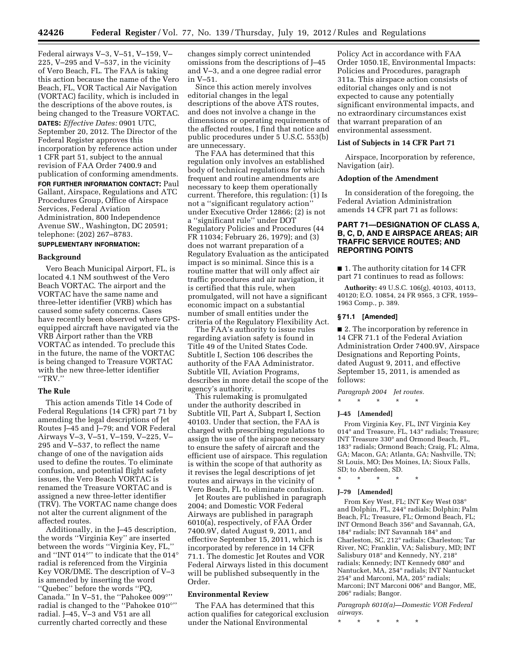Federal airways V–3, V–51, V–159, V– 225, V–295 and V–537, in the vicinity of Vero Beach, FL. The FAA is taking this action because the name of the Vero Beach, FL, VOR Tactical Air Navigation (VORTAC) facility, which is included in the descriptions of the above routes, is being changed to the Treasure VORTAC. **DATES:** *Effective Dates:* 0901 UTC, September 20, 2012. The Director of the Federal Register approves this incorporation by reference action under 1 CFR part 51, subject to the annual revision of FAA Order 7400.9 and publication of conforming amendments. **FOR FURTHER INFORMATION CONTACT:** Paul Gallant, Airspace, Regulations and ATC

Procedures Group, Office of Airspace Services, Federal Aviation Administration, 800 Independence Avenue SW., Washington, DC 20591; telephone: (202) 267–8783.

# **SUPPLEMENTARY INFORMATION:**

### **Background**

Vero Beach Municipal Airport, FL, is located 4.1 NM southwest of the Vero Beach VORTAC. The airport and the VORTAC have the same name and three-letter identifier (VRB) which has caused some safety concerns. Cases have recently been observed where GPSequipped aircraft have navigated via the VRB Airport rather than the VRB VORTAC as intended. To preclude this in the future, the name of the VORTAC is being changed to Treasure VORTAC with the new three-letter identifier ''TRV.''

# **The Rule**

This action amends Title 14 Code of Federal Regulations (14 CFR) part 71 by amending the legal descriptions of Jet Routes J–45 and J–79; and VOR Federal Airways V–3, V–51, V–159, V–225, V– 295 and V–537, to reflect the name change of one of the navigation aids used to define the routes. To eliminate confusion, and potential flight safety issues, the Vero Beach VORTAC is renamed the Treasure VORTAC and is assigned a new three-letter identifier (TRV). The VORTAC name change does not alter the current alignment of the affected routes.

Additionally, in the J–45 description, the words ''Virginia Key'' are inserted between the words ''Virginia Key, FL,'' and ''INT 014°'' to indicate that the 014° radial is referenced from the Virginia Key VOR/DME. The description of V–3 is amended by inserting the word ''Quebec'' before the words ''PQ, Canada.'' In V–51, the ''Pahokee 009°'' radial is changed to the ''Pahokee 010°'' radial. J–45, V–3 and V51 are all currently charted correctly and these

changes simply correct unintended omissions from the descriptions of J–45 and V–3, and a one degree radial error in V–51.

Since this action merely involves editorial changes in the legal descriptions of the above ATS routes, and does not involve a change in the dimensions or operating requirements of the affected routes, I find that notice and public procedures under 5 U.S.C. 553(b) are unnecessary.

The FAA has determined that this regulation only involves an established body of technical regulations for which frequent and routine amendments are necessary to keep them operationally current. Therefore, this regulation: (1) Is not a ''significant regulatory action'' under Executive Order 12866; (2) is not a ''significant rule'' under DOT Regulatory Policies and Procedures (44 FR 11034; February 26, 1979); and (3) does not warrant preparation of a Regulatory Evaluation as the anticipated impact is so minimal. Since this is a routine matter that will only affect air traffic procedures and air navigation, it is certified that this rule, when promulgated, will not have a significant economic impact on a substantial number of small entities under the criteria of the Regulatory Flexibility Act.

The FAA's authority to issue rules regarding aviation safety is found in Title 49 of the United States Code. Subtitle I, Section 106 describes the authority of the FAA Administrator. Subtitle VII, Aviation Programs, describes in more detail the scope of the agency's authority.

This rulemaking is promulgated under the authority described in Subtitle VII, Part A, Subpart I, Section 40103. Under that section, the FAA is charged with prescribing regulations to assign the use of the airspace necessary to ensure the safety of aircraft and the efficient use of airspace. This regulation is within the scope of that authority as it revises the legal descriptions of jet routes and airways in the vicinity of Vero Beach, FL to eliminate confusion.

Jet Routes are published in paragraph 2004; and Domestic VOR Federal Airways are published in paragraph 6010(a), respectively, of FAA Order 7400.9V, dated August 9, 2011, and effective September 15, 2011, which is incorporated by reference in 14 CFR 71.1. The domestic Jet Routes and VOR Federal Airways listed in this document will be published subsequently in the Order.

# **Environmental Review**

The FAA has determined that this action qualifies for categorical exclusion under the National Environmental

Policy Act in accordance with FAA Order 1050.1E, Environmental Impacts: Policies and Procedures, paragraph 311a. This airspace action consists of editorial changes only and is not expected to cause any potentially significant environmental impacts, and no extraordinary circumstances exist that warrant preparation of an environmental assessment.

### **List of Subjects in 14 CFR Part 71**

Airspace, Incorporation by reference, Navigation (air).

### **Adoption of the Amendment**

In consideration of the foregoing, the Federal Aviation Administration amends 14 CFR part 71 as follows:

# **PART 71—DESIGNATION OF CLASS A, B, C, D, AND E AIRSPACE AREAS; AIR TRAFFIC SERVICE ROUTES; AND REPORTING POINTS**

■ 1. The authority citation for 14 CFR part 71 continues to read as follows:

**Authority:** 49 U.S.C. 106(g), 40103, 40113, 40120; E.O. 10854, 24 FR 9565, 3 CFR, 1959– 1963 Comp., p. 389.

# **§ 71.1 [Amended]**

■ 2. The incorporation by reference in 14 CFR 71.1 of the Federal Aviation Administration Order 7400.9V, Airspace Designations and Reporting Points, dated August 9, 2011, and effective September 15, 2011, is amended as follows:

*Paragraph 2004 Jet routes.*  \* \* \* \* \*

# **J–45 [Amended]**

From Virginia Key, FL, INT Virginia Key 014° and Treasure, FL, 143° radials; Treasure; INT Treasure 330° and Ormond Beach, FL, 183° radials; Ormond Beach; Craig, FL; Alma, GA; Macon, GA; Atlanta, GA; Nashville, TN; St Louis, MO; Des Moines, IA; Sioux Falls, SD; to Aberdeen, SD.

\* \* \* \* \*

### **J–79 [Amended]**

From Key West, FL; INT Key West 038° and Dolphin, FL, 244° radials; Dolphin; Palm Beach, FL; Treasure, FL; Ormond Beach, FL; INT Ormond Beach 356° and Savannah, GA, 184° radials; INT Savannah 184° and Charleston, SC, 212° radials; Charleston; Tar River, NC; Franklin, VA; Salisbury, MD; INT Salisbury 018° and Kennedy, NY, 218° radials; Kennedy; INT Kennedy 080° and Nantucket, MA, 254° radials; INT Nantucket 254° and Marconi, MA, 205° radials; Marconi; INT Marconi 006° and Bangor, ME, 206° radials; Bangor.

*Paragraph 6010(a)—Domestic VOR Federal airways.* 

\* \* \* \* \*